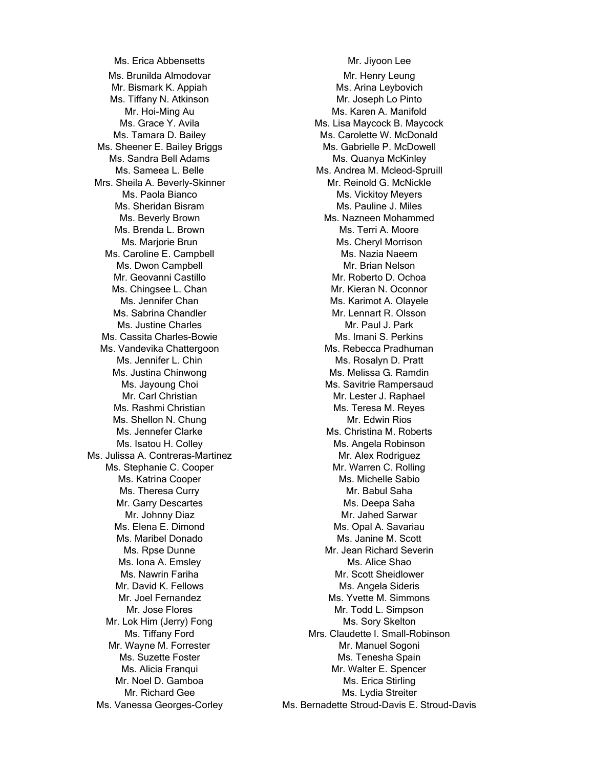Ms. Brunilda Almodovar Mr. Henry Leung Mr. Bismark K. Appiah Ms. Arina Leybovich Ms. Tiffany N. Atkinson Mr. Joseph Lo Pinto Ms. Sheener E. Bailey Briggs Ms. Gabrielle P. McDowell Ms. Sandra Bell Adams Ms. Quanya McKinley Mrs. Sheila A. Beverly-Skinner Mr. Reinold G. McNickle Ms. Sheridan Bisram Ms. Pauline J. Miles Ms. Brenda L. Brown Ms. Terri A. Moore Ms. Caroline E. Campbell **Ms. Canadian Ms. Nazia Naeem** Ms. Dwon Campbell Mr. Brian Nelson Mr. Geovanni Castillo **Mr. Roberto D. Ochoa** Ms. Chingsee L. Chan Mr. Kieran N. Oconnor Ms. Sabrina Chandler Mr. Lennart R. Olsson Ms. Justine Charles Mr. Paul J. Park Ms. Cassita Charles-Bowie Ms. Imani S. Perkins Ms. Vandevika Chattergoon Ms. Rebecca Pradhuman Ms. Rashmi Christian Ms. Teresa M. Reyes Ms. Shellon N. Chung Mr. Edwin Rios Ms. Julissa A. Contreras-Martinez Manuel Mr. Alex Rodriguez Ms. Stephanie C. Cooper Mr. Warren C. Rolling Ms. Katrina Cooper **Ms. Michelle Sabio** Ms. Theresa Curry No. 2006 No. 2010 Mr. Babul Saha Mr. Garry Descartes **Mr.** Garry Descartes Ms. Deepa Saha Ms. Maribel Donado Ms. Janine M. Scott Ms. Iona A. Emsley Ms. Alice Shao Mr. David K. Fellows Mr. David K. Fellows Mr. Lok Him (Jerry) Fong Mr. Sory Skelton Mr. Wayne M. Forrester Mr. Manuel Sogoni Ms. Suzette Foster Ms. Tenesha Spain Mr. Noel D. Gamboa Mr. Noel D. Gamboa

Ms. Erica Abbensetts Mr. Jiyoon Lee Mr. Hoi-Ming Au Ms. Karen A. Manifold Ms. Grace Y. Avila Ms. Lisa Maycock B. Maycock B. Maycock Ms. Tamara D. Bailey Ms. Carolette W. McDonald Ms. Sameea L. Belle Ms. Andrea M. Mcleod-Spruill Ms. Paola Bianco **Ms. Vickitoy Meyers** Ms. Beverly Brown **Ms. Nazneen Mohammed** Ms. Marjorie Brun Ms. Cheryl Morrison Ms. Jennifer Chan Ms. Karimot A. Olayele Ms. Jennifer L. Chin Ms. Rosalyn D. Pratt Ms. Justina Chinwong **Ms. Melissa G. Ramdin** Ms. Jayoung Choi **Ms.** Savitrie Rampersaud Mr. Carl Christian Mr. Lester J. Raphael Ms. Jennefer Clarke Ms. Christina M. Roberts Ms. Isatou H. Colley Ms. Angela Robinson Mr. Johnny Diaz **Mr. Jahed Sarwar** Ms. Elena E. Dimond Ms. Opal A. Savariau Ms. Rpse Dunne Mr. Jean Richard Severin Ms. Nawrin Fariha Mr. Scott Sheidlower Mr. Joel Fernandez **Mr. Joel Fernandez** Ms. Yvette M. Simmons Mr. Jose Flores **Mr.** Todd L. Simpson Ms. Tiffany Ford **Mrs.** Claudette I. Small-Robinson Ms. Alicia Franqui Mr. Walter E. Spencer Mr. Richard Gee Ms. Lydia Streiter Ms. Vanessa Georges-Corley Ms. Bernadette Stroud-Davis E. Stroud-Davis